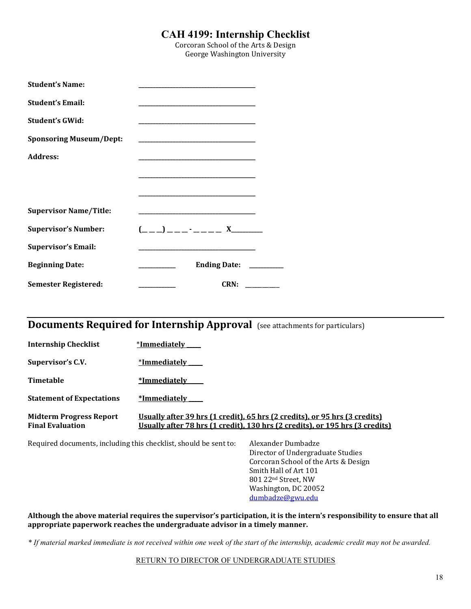### **CAH 4199: Internship Checklist**

Corcoran School of the Arts & Design George Washington University

| <b>Student's Name:</b>         |                                                                                                                                                                                                                               |
|--------------------------------|-------------------------------------------------------------------------------------------------------------------------------------------------------------------------------------------------------------------------------|
| <b>Student's Email:</b>        |                                                                                                                                                                                                                               |
| <b>Student's GWid:</b>         |                                                                                                                                                                                                                               |
| <b>Sponsoring Museum/Dept:</b> | <u> 1989 - Johann Harry Harry Harry Harry Harry Harry Harry Harry Harry Harry Harry Harry Harry Harry Harry Harry</u>                                                                                                         |
| Address:                       | <u> 1989 - Johann Harry Harry Harry Harry Harry Harry Harry Harry Harry Harry Harry Harry Harry Harry Harry Harry</u>                                                                                                         |
|                                |                                                                                                                                                                                                                               |
|                                |                                                                                                                                                                                                                               |
| <b>Supervisor Name/Title:</b>  |                                                                                                                                                                                                                               |
| <b>Supervisor's Number:</b>    |                                                                                                                                                                                                                               |
| <b>Supervisor's Email:</b>     | the control of the control of the control of the control of the control of the control of the control of the control of the control of the control of the control of the control of the control of the control of the control |
| <b>Beginning Date:</b>         | Ending Date: _______                                                                                                                                                                                                          |
| <b>Semester Registered:</b>    | CRN:                                                                                                                                                                                                                          |

## **Documents Required for Internship Approval** (see attachments for particulars)

| <b>Internship Checklist</b>                               | *Immediately                                                                                                                                               |
|-----------------------------------------------------------|------------------------------------------------------------------------------------------------------------------------------------------------------------|
| Supervisor's C.V.                                         | *Immediately                                                                                                                                               |
| Timetable                                                 | *Immediately                                                                                                                                               |
| <b>Statement of Expectations</b>                          | *Immediately                                                                                                                                               |
| <b>Midterm Progress Report</b><br><b>Final Evaluation</b> | Usually after 39 hrs (1 credit), 65 hrs (2 credits), or 95 hrs (3 credits)<br>Usually after 78 hrs (1 credit), 130 hrs (2 credits), or 195 hrs (3 credits) |

Required documents, including this checklist, should be sent to: Alexander Dumbadze

Director of Undergraduate Studies Corcoran School of the Arts & Design Smith Hall of Art 101 801 22nd Street, NW Washington, DC 20052 dumbadze@gwu.edu

Although the above material requires the supervisor's participation, it is the intern's responsibility to ensure that all appropriate paperwork reaches the undergraduate advisor in a timely manner.

*\* If material marked immediate is not received within one week of the start of the internship, academic credit may not be awarded.*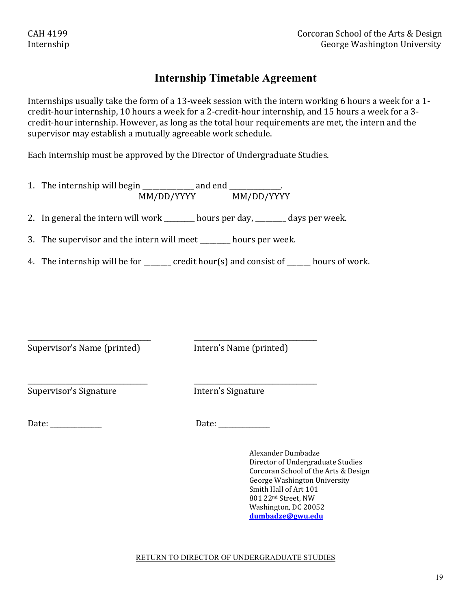### **Internship Timetable Agreement**

Internships usually take the form of a 13-week session with the intern working 6 hours a week for a 1credit-hour internship, 10 hours a week for a 2-credit-hour internship, and 15 hours a week for a 3credit-hour internship. However, as long as the total hour requirements are met, the intern and the supervisor may establish a mutually agreeable work schedule.

Each internship must be approved by the Director of Undergraduate Studies.

1. The internship will begin  $\frac{1}{\frac{1}{2}}$  and end  $\frac{1}{\frac{1}{2}}$ . MM/DD/YYYYY MM/DD/YYYY

2. In general the intern will work  $\_\_\_\_\_$ hours per day,  $\_\_\_\_$  days per week.

3. The supervisor and the intern will meet \_\_\_\_\_\_\_ hours per week.

\_\_\_\_\_\_\_\_\_\_\_\_\_\_\_\_\_\_\_\_\_\_\_\_\_\_\_\_\_\_\_\_\_\_\_\_ \_\_\_\_\_\_\_\_\_\_\_\_\_\_\_\_\_\_\_\_\_\_\_\_\_\_\_\_\_\_\_\_\_\_\_\_

\_\_\_\_\_\_\_\_\_\_\_\_\_\_\_\_\_\_\_\_\_\_\_\_\_\_\_\_\_\_\_\_\_\_\_ \_\_\_\_\_\_\_\_\_\_\_\_\_\_\_\_\_\_\_\_\_\_\_\_\_\_\_\_\_\_\_\_\_\_\_\_

4. The internship will be for  $\Box$  credit hour(s) and consist of  $\Box$  hours of work.

Supervisor's Name (printed) littlern's Name (printed)

Supervisor's Signature **Intern's** Signature

Date: <u>Date:</u> **Date: Date: Date: Date: Date: Date: Date: Date: Date: D** 

Alexander Dumbadze Director of Undergraduate Studies Corcoran School of the Arts & Design George Washington University Smith Hall of Art 101 801 22nd Street, NW Washington, DC 20052 **dumbadze@gwu.edu**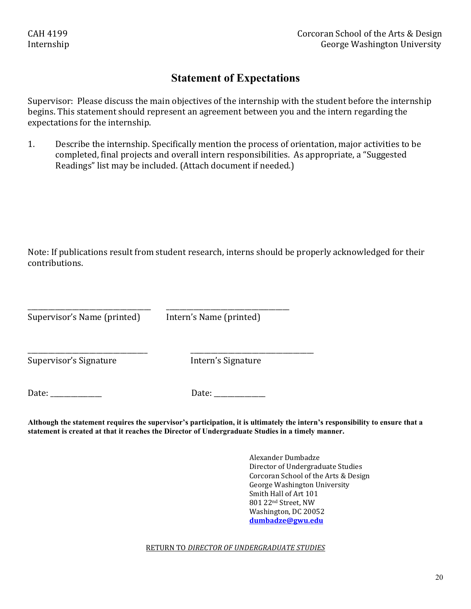### **Statement of Expectations**

Supervisor: Please discuss the main objectives of the internship with the student before the internship begins. This statement should represent an agreement between you and the intern regarding the expectations for the internship.

1. Describe the internship. Specifically mention the process of orientation, major activities to be completed, final projects and overall intern responsibilities. As appropriate, a "Suggested Readings" list may be included. (Attach document if needed.)

Note: If publications result from student research, interns should be properly acknowledged for their contributions.

Supervisor's Name (printed) lntern's Name (printed)

\_\_\_\_\_\_\_\_\_\_\_\_\_\_\_\_\_\_\_\_\_\_\_\_\_\_\_\_\_\_\_\_\_\_\_\_ \_\_\_\_\_\_\_\_\_\_\_\_\_\_\_\_\_\_\_\_\_\_\_\_\_\_\_\_\_\_\_\_\_\_\_\_

\_\_\_\_\_\_\_\_\_\_\_\_\_\_\_\_\_\_\_\_\_\_\_\_\_\_\_\_\_\_\_\_\_\_\_ \_\_\_\_\_\_\_\_\_\_\_\_\_\_\_\_\_\_\_\_\_\_\_\_\_\_\_\_\_\_\_\_\_\_\_\_

Supervisor's Signature *Supervisor's* Signature

Date: \_\_\_\_\_\_\_\_\_\_\_\_\_\_\_ Date: \_\_\_\_\_\_\_\_\_\_\_\_\_\_\_

**Although the statement requires the supervisor's participation, it is ultimately the intern's responsibility to ensure that a statement is created at that it reaches the Director of Undergraduate Studies in a timely manner.**

> Alexander Dumbadze Director of Undergraduate Studies Corcoran School of the Arts & Design George Washington University Smith Hall of Art 101 801 22nd Street, NW Washington, DC 20052 **dumbadze@gwu.edu**

RETURN TO *DIRECTOR OF UNDERGRADUATE STUDIES*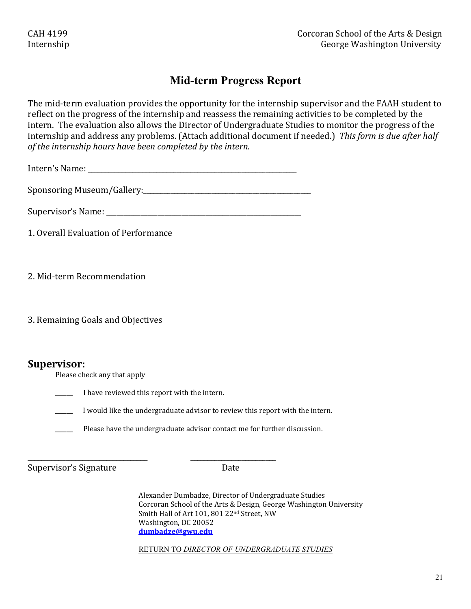## **Mid-term Progress Report**

The mid-term evaluation provides the opportunity for the internship supervisor and the FAAH student to reflect on the progress of the internship and reassess the remaining activities to be completed by the intern. The evaluation also allows the Director of Undergraduate Studies to monitor the progress of the internship and address any problems. (Attach additional document if needed.) This form is due after half *of the internship hours have been completed by the intern.* 

Intern's Name: \_\_\_\_\_\_\_\_\_\_\_\_\_\_\_\_\_\_\_\_\_\_\_\_\_\_\_\_\_\_\_\_\_\_\_\_\_\_\_\_\_\_\_\_\_\_\_\_\_\_\_\_\_\_\_\_\_\_\_\_\_

Sponsoring Museum/Gallery:\_\_\_\_\_\_\_\_\_\_\_\_\_\_\_\_\_\_\_\_\_\_\_\_\_\_\_\_\_\_\_\_\_\_\_\_\_\_\_\_\_\_\_\_\_\_\_\_\_

Supervisor's Name: \_\_\_\_\_\_\_\_\_\_\_\_\_\_\_\_\_\_\_\_\_\_\_\_\_\_\_\_\_\_\_\_\_\_\_\_\_\_\_\_\_\_\_\_\_\_\_\_\_\_\_\_\_\_\_\_\_

1. Overall Evaluation of Performance

2. Mid-term Recommendation

3. Remaining Goals and Objectives

### **Supervisor:**

Please check any that apply

\_\_\_\_\_\_ I have reviewed this report with the intern.

\_\_\_\_\_\_\_\_\_\_\_\_\_\_\_\_\_\_\_\_\_\_\_\_\_\_\_\_\_\_\_\_\_\_\_ \_\_\_\_\_\_\_\_\_\_\_\_\_\_\_\_\_\_\_\_\_\_\_\_\_

I would like the undergraduate advisor to review this report with the intern.

Please have the undergraduate advisor contact me for further discussion.

Supervisor's Signature **Date** 

Alexander Dumbadze, Director of Undergraduate Studies Corcoran School of the Arts & Design, George Washington University Smith Hall of Art 101, 801 22<sup>nd</sup> Street, NW Washington, DC 20052 **dumbadze@gwu.edu**